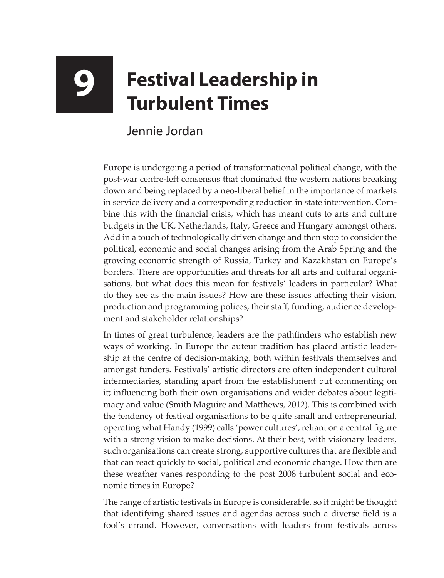## **9 Festival Leadership in Turbulent Times**

## Jennie Jordan

Europe is undergoing a period of transformational political change, with the post-war centre-left consensus that dominated the western nations breaking down and being replaced by a neo-liberal belief in the importance of markets in service delivery and a corresponding reduction in state intervention. Combine this with the financial crisis, which has meant cuts to arts and culture budgets in the UK, Netherlands, Italy, Greece and Hungary amongst others. Add in a touch of technologically driven change and then stop to consider the political, economic and social changes arising from the Arab Spring and the growing economic strength of Russia, Turkey and Kazakhstan on Europe's borders. There are opportunities and threats for all arts and cultural organisations, but what does this mean for festivals' leaders in particular? What do they see as the main issues? How are these issues affecting their vision, production and programming polices, their staff, funding, audience development and stakeholder relationships?

In times of great turbulence, leaders are the pathfinders who establish new ways of working. In Europe the auteur tradition has placed artistic leadership at the centre of decision-making, both within festivals themselves and amongst funders. Festivals' artistic directors are often independent cultural intermediaries, standing apart from the establishment but commenting on it; influencing both their own organisations and wider debates about legitimacy and value (Smith Maguire and Matthews, 2012). This is combined with the tendency of festival organisations to be quite small and entrepreneurial, operating what Handy (1999) calls 'power cultures', reliant on a central figure with a strong vision to make decisions. At their best, with visionary leaders, such organisations can create strong, supportive cultures that are flexible and that can react quickly to social, political and economic change. How then are these weather vanes responding to the post 2008 turbulent social and economic times in Europe?

The range of artistic festivals in Europe is considerable, so it might be thought that identifying shared issues and agendas across such a diverse field is a fool's errand. However, conversations with leaders from festivals across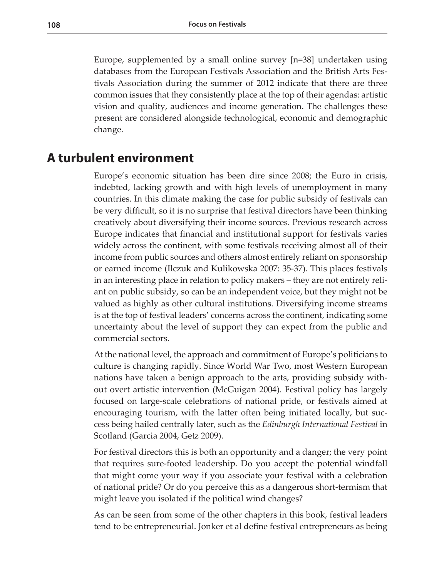Europe, supplemented by a small online survey [n=38] undertaken using databases from the European Festivals Association and the British Arts Festivals Association during the summer of 2012 indicate that there are three common issues that they consistently place at the top of their agendas: artistic vision and quality, audiences and income generation. The challenges these present are considered alongside technological, economic and demographic change.

## **A turbulent environment**

Europe's economic situation has been dire since 2008; the Euro in crisis, indebted, lacking growth and with high levels of unemployment in many countries. In this climate making the case for public subsidy of festivals can be very difficult, so it is no surprise that festival directors have been thinking creatively about diversifying their income sources. Previous research across Europe indicates that financial and institutional support for festivals varies widely across the continent, with some festivals receiving almost all of their income from public sources and others almost entirely reliant on sponsorship or earned income (Ilczuk and Kulikowska 2007: 35-37). This places festivals in an interesting place in relation to policy makers – they are not entirely reliant on public subsidy, so can be an independent voice, but they might not be valued as highly as other cultural institutions. Diversifying income streams is at the top of festival leaders' concerns across the continent, indicating some uncertainty about the level of support they can expect from the public and commercial sectors.

At the national level, the approach and commitment of Europe's politicians to culture is changing rapidly. Since World War Two, most Western European nations have taken a benign approach to the arts, providing subsidy without overt artistic intervention (McGuigan 2004). Festival policy has largely focused on large-scale celebrations of national pride, or festivals aimed at encouraging tourism, with the latter often being initiated locally, but success being hailed centrally later, such as the *Edinburgh International Festival* in Scotland (Garcia 2004, Getz 2009).

For festival directors this is both an opportunity and a danger; the very point that requires sure-footed leadership. Do you accept the potential windfall that might come your way if you associate your festival with a celebration of national pride? Or do you perceive this as a dangerous short-termism that might leave you isolated if the political wind changes?

As can be seen from some of the other chapters in this book, festival leaders tend to be entrepreneurial. Jonker et al define festival entrepreneurs as being